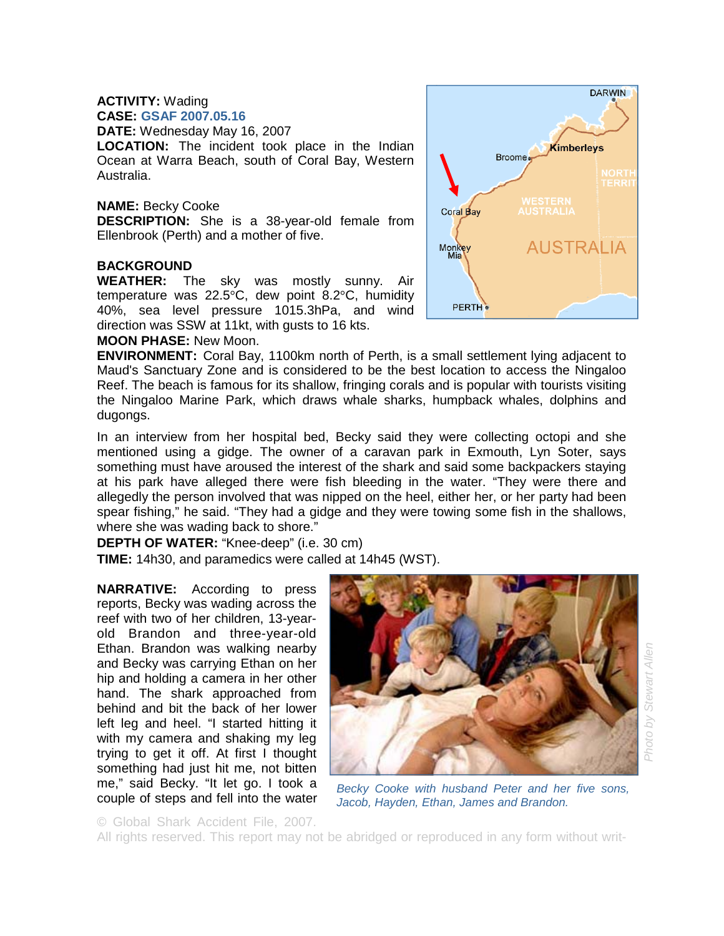#### **ACTIVITY:** Wading **CASE: GSAF 2007.05.16**

**DATE:** Wednesday May 16, 2007

**LOCATION:** The incident took place in the Indian Ocean at Warra Beach, south of Coral Bay, Western Australia.

#### **NAME:** Becky Cooke

**DESCRIPTION:** She is a 38-year-old female from Ellenbrook (Perth) and a mother of five.

## **BACKGROUND**

**WEATHER:** The sky was mostly sunny. Air temperature was 22.5°C, dew point 8.2°C, humidity 40%, sea level pressure 1015.3hPa, and wind direction was SSW at 11kt, with gusts to 16 kts.

## **MOON PHASE:** New Moon.

**ENVIRONMENT:** Coral Bay, 1100km north of Perth, is a small settlement lying adjacent to Maud's Sanctuary Zone and is considered to be the best location to access the Ningaloo Reef. The beach is famous for its shallow, fringing corals and is popular with tourists visiting the Ningaloo Marine Park, which draws whale sharks, humpback whales, dolphins and dugongs.

In an interview from her hospital bed, Becky said they were collecting octopi and she mentioned using a gidge. The owner of a caravan park in Exmouth, Lyn Soter, says something must have aroused the interest of the shark and said some backpackers staying at his park have alleged there were fish bleeding in the water. "They were there and allegedly the person involved that was nipped on the heel, either her, or her party had been spear fishing," he said. "They had a gidge and they were towing some fish in the shallows, where she was wading back to shore."

**DEPTH OF WATER:** "Knee-deep" (i.e. 30 cm)

**TIME:** 14h30, and paramedics were called at 14h45 (WST).

**NARRATIVE:** According to press reports, Becky was wading across the reef with two of her children, 13-yearold Brandon and three-year-old Ethan. Brandon was walking nearby and Becky was carrying Ethan on her hip and holding a camera in her other hand. The shark approached from behind and bit the back of her lower left leg and heel. "I started hitting it with my camera and shaking my leg trying to get it off. At first I thought something had just hit me, not bitten me," said Becky. "It let go. I took a couple of steps and fell into the water



© Global Shark Accident File, 2007.

All rights reserved. This report may not be abridged or reproduced in any form without writ-

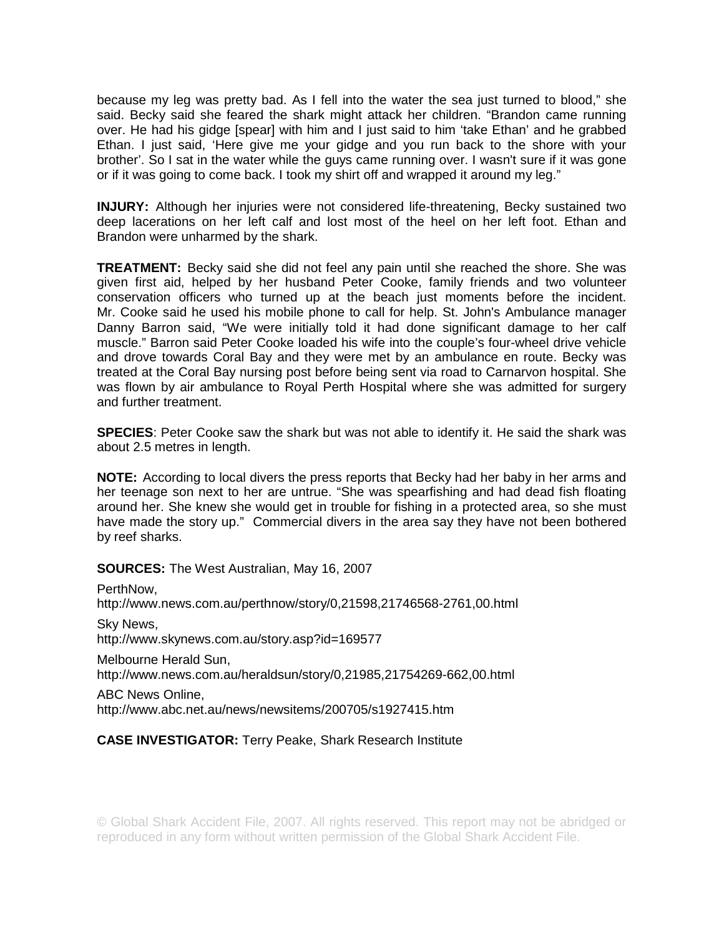because my leg was pretty bad. As I fell into the water the sea just turned to blood," she said. Becky said she feared the shark might attack her children. "Brandon came running over. He had his gidge [spear] with him and I just said to him 'take Ethan' and he grabbed Ethan. I just said, 'Here give me your gidge and you run back to the shore with your brother'. So I sat in the water while the guys came running over. I wasn't sure if it was gone or if it was going to come back. I took my shirt off and wrapped it around my leg."

**INJURY:** Although her injuries were not considered life-threatening, Becky sustained two deep lacerations on her left calf and lost most of the heel on her left foot. Ethan and Brandon were unharmed by the shark.

**TREATMENT:** Becky said she did not feel any pain until she reached the shore. She was given first aid, helped by her husband Peter Cooke, family friends and two volunteer conservation officers who turned up at the beach just moments before the incident. Mr. Cooke said he used his mobile phone to call for help. St. John's Ambulance manager Danny Barron said, "We were initially told it had done significant damage to her calf muscle." Barron said Peter Cooke loaded his wife into the couple's four-wheel drive vehicle and drove towards Coral Bay and they were met by an ambulance en route. Becky was treated at the Coral Bay nursing post before being sent via road to Carnarvon hospital. She was flown by air ambulance to Royal Perth Hospital where she was admitted for surgery and further treatment.

**SPECIES**: Peter Cooke saw the shark but was not able to identify it. He said the shark was about 2.5 metres in length.

**NOTE:** According to local divers the press reports that Becky had her baby in her arms and her teenage son next to her are untrue. "She was spearfishing and had dead fish floating around her. She knew she would get in trouble for fishing in a protected area, so she must have made the story up." Commercial divers in the area say they have not been bothered by reef sharks.

**SOURCES:** The West Australian, May 16, 2007

PerthNow, http://www.news.com.au/perthnow/story/0,21598,21746568-2761,00.html Sky News, http://www.skynews.com.au/story.asp?id=169577

Melbourne Herald Sun, http://www.news.com.au/heraldsun/story/0,21985,21754269-662,00.html

ABC News Online, http://www.abc.net.au/news/newsitems/200705/s1927415.htm

# **CASE INVESTIGATOR:** Terry Peake, Shark Research Institute

© Global Shark Accident File, 2007. All rights reserved. This report may not be abridged or reproduced in any form without written permission of the Global Shark Accident File.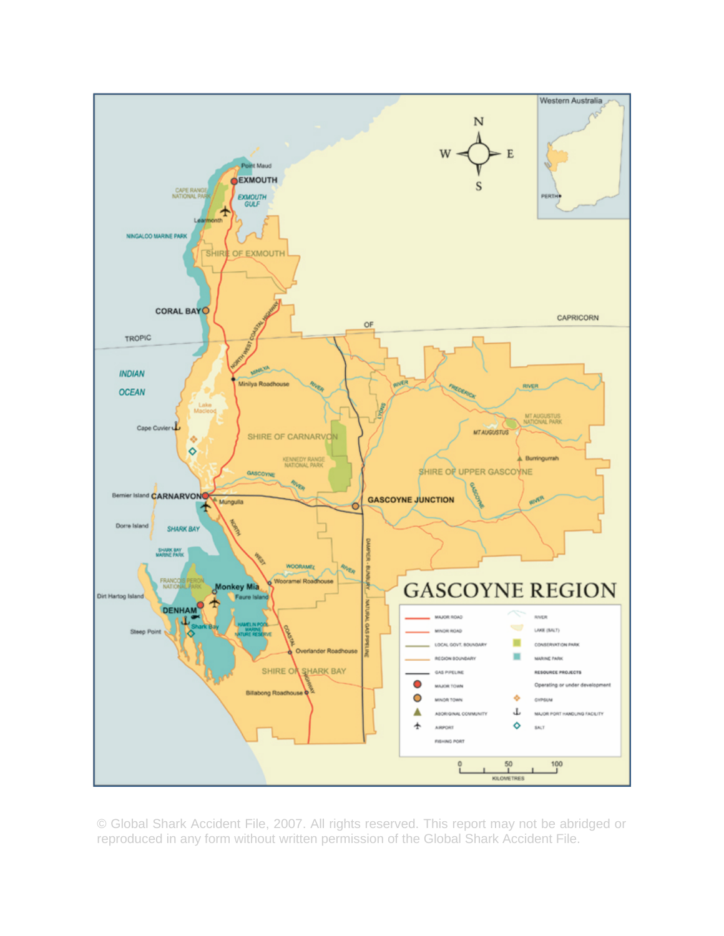

© Global Shark Accident File, 2007. All rights reserved. This report may not be abridged or reproduced in any form without written permission of the Global Shark Accident File.